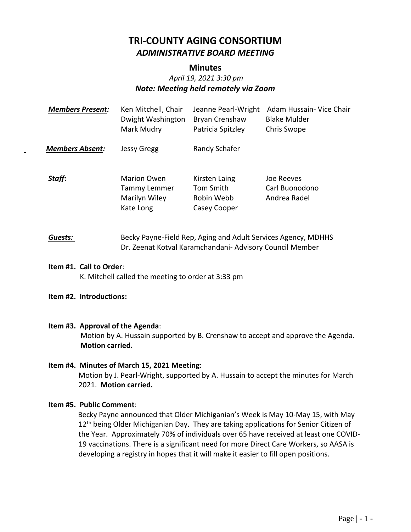# **TRI-COUNTY AGING CONSORTIUM** *ADMINISTRATIVE BOARD MEETING*

## **Minutes**

# *April 19, 2021 3:30 pm Note: Meeting held remotely via Zoom*

| <b>Members Present:</b> | Ken Mitchell, Chair<br>Dwight Washington<br>Mark Mudry           | Jeanne Pearl-Wright<br>Bryan Crenshaw<br>Patricia Spitzley | Adam Hussain- Vice Chair<br><b>Blake Mulder</b><br>Chris Swope |
|-------------------------|------------------------------------------------------------------|------------------------------------------------------------|----------------------------------------------------------------|
| <b>Members Absent:</b>  | <b>Jessy Gregg</b>                                               | Randy Schafer                                              |                                                                |
| Staff:                  | <b>Marion Owen</b><br>Tammy Lemmer<br>Marilyn Wiley<br>Kate Long | Kirsten Laing<br>Tom Smith<br>Robin Webb<br>Casey Cooper   | Joe Reeves<br>Carl Buonodono<br>Andrea Radel                   |

# **Guests:** Becky Payne-Field Rep, Aging and Adult Services Agency, MDHHS Dr. Zeenat Kotval Karamchandani- Advisory Council Member

#### **Item #1. Call to Order**:

K. Mitchell called the meeting to order at 3:33 pm

## **Item #2. Introductions:**

## **Item #3. Approval of the Agenda**:

Motion by A. Hussain supported by B. Crenshaw to accept and approve the Agenda. **Motion carried.**

## **Item #4. Minutes of March 15, 2021 Meeting:** Motion by J. Pearl-Wright, supported by A. Hussain to accept the minutes for March 2021. **Motion carried.**

## **Item #5. Public Comment**:

 Becky Payne announced that Older Michiganian's Week is May 10-May 15, with May 12<sup>th</sup> being Older Michiganian Day. They are taking applications for Senior Citizen of the Year. Approximately 70% of individuals over 65 have received at least one COVID-19 vaccinations. There is a significant need for more Direct Care Workers, so AASA is developing a registry in hopes that it will make it easier to fill open positions.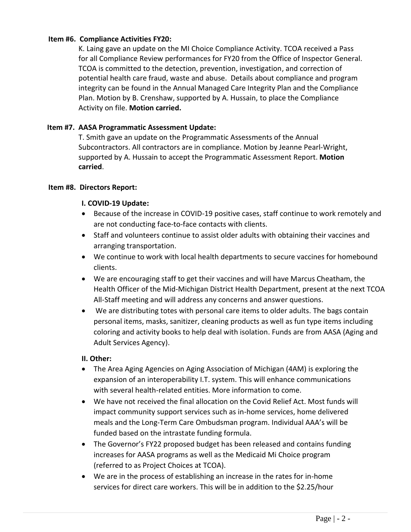## **Item #6. Compliance Activities FY20:**

K. Laing gave an update on the MI Choice Compliance Activity. TCOA received a Pass for all Compliance Review performances for FY20 from the Office of Inspector General. TCOA is committed to the detection, prevention, investigation, and correction of potential health care fraud, waste and abuse. Details about compliance and program integrity can be found in the Annual Managed Care Integrity Plan and the Compliance Plan. Motion by B. Crenshaw, supported by A. Hussain, to place the Compliance Activity on file. **Motion carried.**

## **Item #7. AASA Programmatic Assessment Update:**

T. Smith gave an update on the Programmatic Assessments of the Annual Subcontractors. All contractors are in compliance. Motion by Jeanne Pearl-Wright, supported by A. Hussain to accept the Programmatic Assessment Report. **Motion carried**.

## **Item #8. Directors Report:**

## **I. COVID-19 Update:**

- Because of the increase in COVID-19 positive cases, staff continue to work remotely and are not conducting face-to-face contacts with clients.
- Staff and volunteers continue to assist older adults with obtaining their vaccines and arranging transportation.
- We continue to work with local health departments to secure vaccines for homebound clients.
- We are encouraging staff to get their vaccines and will have Marcus Cheatham, the Health Officer of the Mid-Michigan District Health Department, present at the next TCOA All-Staff meeting and will address any concerns and answer questions.
- We are distributing totes with personal care items to older adults. The bags contain personal items, masks, sanitizer, cleaning products as well as fun type items including coloring and activity books to help deal with isolation. Funds are from AASA (Aging and Adult Services Agency).

## **II. Other:**

- The Area Aging Agencies on Aging Association of Michigan (4AM) is exploring the expansion of an interoperability I.T. system. This will enhance communications with several health-related entities. More information to come.
- We have not received the final allocation on the Covid Relief Act. Most funds will impact community support services such as in-home services, home delivered meals and the Long-Term Care Ombudsman program. Individual AAA's will be funded based on the intrastate funding formula.
- The Governor's FY22 proposed budget has been released and contains funding increases for AASA programs as well as the Medicaid Mi Choice program (referred to as Project Choices at TCOA).
- We are in the process of establishing an increase in the rates for in-home services for direct care workers. This will be in addition to the \$2.25/hour